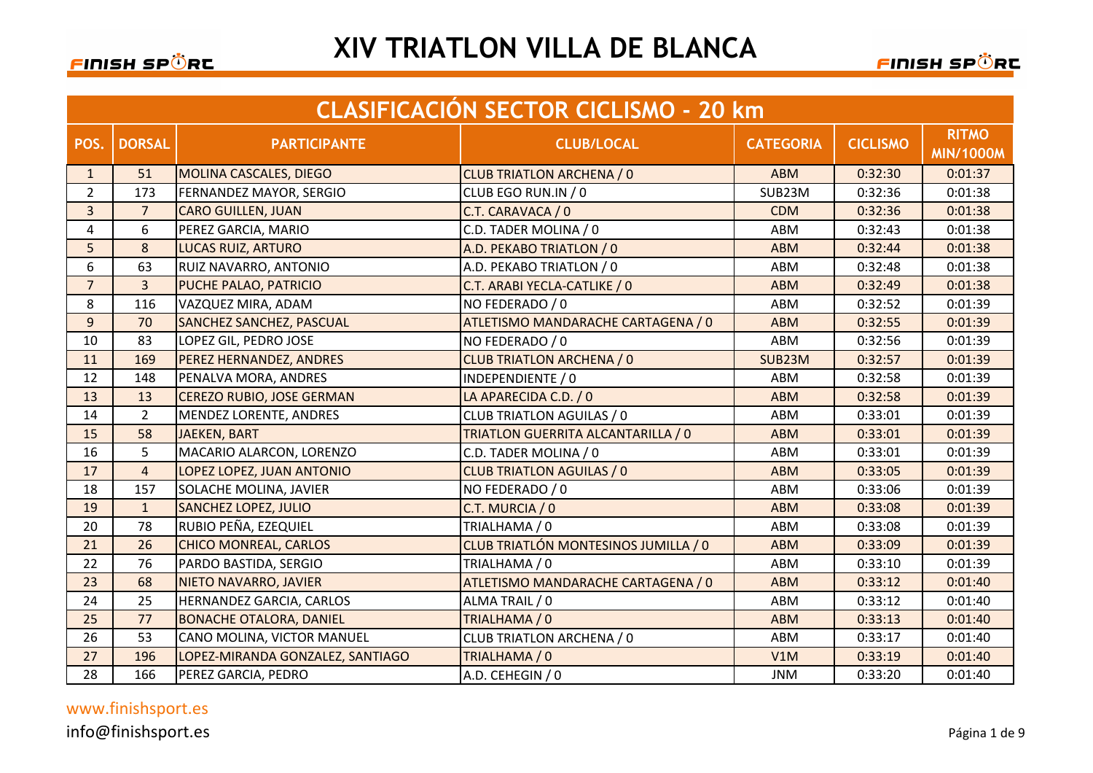#### <u>FINISH SPÖRE</u>

#### **XIV TRIATLON VILLA DE BLANCA**

<u>FINISH SPÖR</u>C

|                | <b>CLASIFICACIÓN SECTOR CICLISMO - 20 km</b> |                                  |                                      |                  |                 |                                  |  |  |
|----------------|----------------------------------------------|----------------------------------|--------------------------------------|------------------|-----------------|----------------------------------|--|--|
| POS.           | <b>DORSAL</b>                                | <b>PARTICIPANTE</b>              | <b>CLUB/LOCAL</b>                    | <b>CATEGORIA</b> | <b>CICLISMO</b> | <b>RITMO</b><br><b>MIN/1000M</b> |  |  |
| 1              | 51                                           | <b>MOLINA CASCALES, DIEGO</b>    | <b>CLUB TRIATLON ARCHENA / 0</b>     | <b>ABM</b>       | 0:32:30         | 0:01:37                          |  |  |
| $\overline{2}$ | 173                                          | FERNANDEZ MAYOR, SERGIO          | CLUB EGO RUN.IN / 0                  | SUB23M           | 0:32:36         | 0:01:38                          |  |  |
| $\overline{3}$ | $\overline{7}$                               | <b>CARO GUILLEN, JUAN</b>        | C.T. CARAVACA / 0                    | <b>CDM</b>       | 0:32:36         | 0:01:38                          |  |  |
| 4              | 6                                            | PEREZ GARCIA, MARIO              | C.D. TADER MOLINA / 0                | <b>ABM</b>       | 0:32:43         | 0:01:38                          |  |  |
| 5              | 8                                            | <b>LUCAS RUIZ, ARTURO</b>        | A.D. PEKABO TRIATLON / 0             | <b>ABM</b>       | 0:32:44         | 0:01:38                          |  |  |
| 6              | 63                                           | RUIZ NAVARRO, ANTONIO            | A.D. PEKABO TRIATLON / 0             | ABM              | 0:32:48         | 0:01:38                          |  |  |
| $\overline{7}$ | $\overline{3}$                               | PUCHE PALAO, PATRICIO            | C.T. ARABI YECLA-CATLIKE / 0         | <b>ABM</b>       | 0:32:49         | 0:01:38                          |  |  |
| 8              | 116                                          | VAZQUEZ MIRA, ADAM               | NO FEDERADO / 0                      | ABM              | 0:32:52         | 0:01:39                          |  |  |
| 9              | 70                                           | <b>SANCHEZ SANCHEZ, PASCUAL</b>  | ATLETISMO MANDARACHE CARTAGENA / 0   | <b>ABM</b>       | 0:32:55         | 0:01:39                          |  |  |
| 10             | 83                                           | LOPEZ GIL, PEDRO JOSE            | NO FEDERADO / 0                      | ABM              | 0:32:56         | 0:01:39                          |  |  |
| 11             | 169                                          | PEREZ HERNANDEZ, ANDRES          | <b>CLUB TRIATLON ARCHENA / 0</b>     | SUB23M           | 0:32:57         | 0:01:39                          |  |  |
| 12             | 148                                          | PENALVA MORA, ANDRES             | INDEPENDIENTE / 0                    | ABM              | 0:32:58         | 0:01:39                          |  |  |
| 13             | 13                                           | <b>CEREZO RUBIO, JOSE GERMAN</b> | LA APARECIDA C.D. / 0                | <b>ABM</b>       | 0:32:58         | 0:01:39                          |  |  |
| 14             | $2^{\circ}$                                  | <b>MENDEZ LORENTE, ANDRES</b>    | CLUB TRIATLON AGUILAS / 0            | ABM              | 0:33:01         | 0:01:39                          |  |  |
| 15             | 58                                           | <b>JAEKEN, BART</b>              | TRIATLON GUERRITA ALCANTARILLA / 0   | <b>ABM</b>       | 0:33:01         | 0:01:39                          |  |  |
| 16             | 5                                            | MACARIO ALARCON, LORENZO         | C.D. TADER MOLINA / 0                | ABM              | 0:33:01         | 0:01:39                          |  |  |
| 17             | $\overline{4}$                               | LOPEZ LOPEZ, JUAN ANTONIO        | <b>CLUB TRIATLON AGUILAS / 0</b>     | <b>ABM</b>       | 0:33:05         | 0:01:39                          |  |  |
| 18             | 157                                          | <b>SOLACHE MOLINA, JAVIER</b>    | NO FEDERADO / 0                      | ABM              | 0:33:06         | 0:01:39                          |  |  |
| 19             | $\mathbf{1}$                                 | <b>SANCHEZ LOPEZ, JULIO</b>      | C.T. MURCIA / 0                      | <b>ABM</b>       | 0:33:08         | 0:01:39                          |  |  |
| 20             | 78                                           | RUBIO PEÑA, EZEQUIEL             | TRIALHAMA / 0                        | ABM              | 0:33:08         | 0:01:39                          |  |  |
| 21             | 26                                           | CHICO MONREAL, CARLOS            | CLUB TRIATLÓN MONTESINOS JUMILLA / 0 | <b>ABM</b>       | 0:33:09         | 0:01:39                          |  |  |
| 22             | 76                                           | PARDO BASTIDA, SERGIO            | TRIALHAMA / 0                        | <b>ABM</b>       | 0:33:10         | 0:01:39                          |  |  |
| 23             | 68                                           | NIETO NAVARRO, JAVIER            | ATLETISMO MANDARACHE CARTAGENA / 0   | <b>ABM</b>       | 0:33:12         | 0:01:40                          |  |  |
| 24             | 25                                           | HERNANDEZ GARCIA, CARLOS         | ALMA TRAIL / 0                       | ABM              | 0:33:12         | 0:01:40                          |  |  |
| 25             | 77                                           | <b>BONACHE OTALORA, DANIEL</b>   | TRIALHAMA / 0                        | <b>ABM</b>       | 0:33:13         | 0:01:40                          |  |  |
| 26             | 53                                           | CANO MOLINA, VICTOR MANUEL       | CLUB TRIATLON ARCHENA / 0            | ABM              | 0:33:17         | 0:01:40                          |  |  |
| 27             | 196                                          | LOPEZ-MIRANDA GONZALEZ, SANTIAGO | TRIALHAMA / 0                        | V1M              | 0:33:19         | 0:01:40                          |  |  |
| 28             | 166                                          | PEREZ GARCIA, PEDRO              | A.D. CEHEGIN / 0                     | <b>JNM</b>       | 0:33:20         | 0:01:40                          |  |  |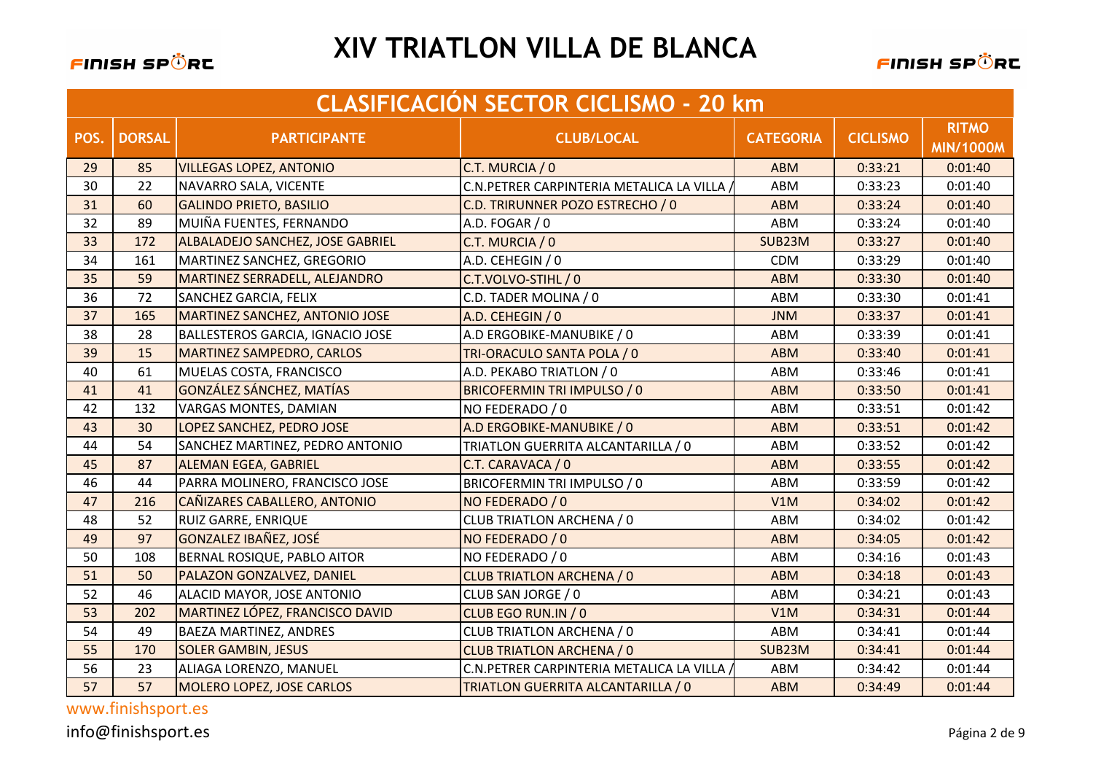

|      | <b>CLASIFICACIÓN SECTOR CICLISMO - 20 km</b> |                                       |                                          |                  |                 |                                  |  |
|------|----------------------------------------------|---------------------------------------|------------------------------------------|------------------|-----------------|----------------------------------|--|
| POS. | <b>DORSAL</b>                                | <b>PARTICIPANTE</b>                   | <b>CLUB/LOCAL</b>                        | <b>CATEGORIA</b> | <b>CICLISMO</b> | <b>RITMO</b><br><b>MIN/1000M</b> |  |
| 29   | 85                                           | <b>VILLEGAS LOPEZ, ANTONIO</b>        | C.T. MURCIA / 0                          | <b>ABM</b>       | 0:33:21         | 0:01:40                          |  |
| 30   | 22                                           | NAVARRO SALA, VICENTE                 | C.N.PETRER CARPINTERIA METALICA LA VILLA | ABM              | 0:33:23         | 0:01:40                          |  |
| 31   | 60                                           | <b>GALINDO PRIETO, BASILIO</b>        | C.D. TRIRUNNER POZO ESTRECHO / 0         | <b>ABM</b>       | 0:33:24         | 0:01:40                          |  |
| 32   | 89                                           | MUIÑA FUENTES, FERNANDO               | A.D. FOGAR / 0                           | ABM              | 0:33:24         | 0:01:40                          |  |
| 33   | 172                                          | ALBALADEJO SANCHEZ, JOSE GABRIEL      | C.T. MURCIA / 0                          | SUB23M           | 0:33:27         | 0:01:40                          |  |
| 34   | 161                                          | MARTINEZ SANCHEZ, GREGORIO            | A.D. CEHEGIN / 0                         | <b>CDM</b>       | 0:33:29         | 0:01:40                          |  |
| 35   | 59                                           | MARTINEZ SERRADELL, ALEJANDRO         | C.T.VOLVO-STIHL / 0                      | <b>ABM</b>       | 0:33:30         | 0:01:40                          |  |
| 36   | 72                                           | SANCHEZ GARCIA, FELIX                 | C.D. TADER MOLINA / 0                    | ABM              | 0:33:30         | 0:01:41                          |  |
| 37   | 165                                          | <b>MARTINEZ SANCHEZ, ANTONIO JOSE</b> | A.D. CEHEGIN / 0                         | <b>JNM</b>       | 0:33:37         | 0:01:41                          |  |
| 38   | 28                                           | BALLESTEROS GARCIA, IGNACIO JOSE      | A.D ERGOBIKE-MANUBIKE / 0                | ABM              | 0:33:39         | 0:01:41                          |  |
| 39   | 15                                           | <b>MARTINEZ SAMPEDRO, CARLOS</b>      | TRI-ORACULO SANTA POLA / 0               | <b>ABM</b>       | 0:33:40         | 0:01:41                          |  |
| 40   | 61                                           | MUELAS COSTA, FRANCISCO               | A.D. PEKABO TRIATLON / 0                 | ABM              | 0:33:46         | 0:01:41                          |  |
| 41   | 41                                           | GONZÁLEZ SÁNCHEZ, MATÍAS              | <b>BRICOFERMIN TRI IMPULSO / 0</b>       | <b>ABM</b>       | 0:33:50         | 0:01:41                          |  |
| 42   | 132                                          | <b>VARGAS MONTES, DAMIAN</b>          | NO FEDERADO / 0                          | ABM              | 0:33:51         | 0:01:42                          |  |
| 43   | 30                                           | LOPEZ SANCHEZ, PEDRO JOSE             | A.D ERGOBIKE-MANUBIKE / 0                | <b>ABM</b>       | 0:33:51         | 0:01:42                          |  |
| 44   | 54                                           | SANCHEZ MARTINEZ, PEDRO ANTONIO       | TRIATLON GUERRITA ALCANTARILLA / 0       | ABM              | 0:33:52         | 0:01:42                          |  |
| 45   | 87                                           | <b>ALEMAN EGEA, GABRIEL</b>           | C.T. CARAVACA / 0                        | <b>ABM</b>       | 0:33:55         | 0:01:42                          |  |
| 46   | 44                                           | PARRA MOLINERO, FRANCISCO JOSE        | BRICOFERMIN TRI IMPULSO / 0              | ABM              | 0:33:59         | 0:01:42                          |  |
| 47   | 216                                          | CAÑIZARES CABALLERO, ANTONIO          | NO FEDERADO / 0                          | V1M              | 0:34:02         | 0:01:42                          |  |
| 48   | 52                                           | RUIZ GARRE, ENRIQUE                   | CLUB TRIATLON ARCHENA / 0                | ABM              | 0:34:02         | 0:01:42                          |  |
| 49   | 97                                           | <b>GONZALEZ IBAÑEZ, JOSÉ</b>          | NO FEDERADO / 0                          | <b>ABM</b>       | 0:34:05         | 0:01:42                          |  |
| 50   | 108                                          | BERNAL ROSIQUE, PABLO AITOR           | NO FEDERADO / 0                          | ABM              | 0:34:16         | 0:01:43                          |  |
| 51   | 50                                           | PALAZON GONZALVEZ, DANIEL             | <b>CLUB TRIATLON ARCHENA / 0</b>         | <b>ABM</b>       | 0:34:18         | 0:01:43                          |  |
| 52   | 46                                           | ALACID MAYOR, JOSE ANTONIO            | CLUB SAN JORGE / 0                       | ABM              | 0:34:21         | 0:01:43                          |  |
| 53   | 202                                          | MARTINEZ LÓPEZ, FRANCISCO DAVID       | CLUB EGO RUN.IN / 0                      | V1M              | 0:34:31         | 0:01:44                          |  |
| 54   | 49                                           | <b>BAEZA MARTINEZ, ANDRES</b>         | CLUB TRIATLON ARCHENA / 0                | ABM              | 0:34:41         | 0:01:44                          |  |
| 55   | 170                                          | <b>SOLER GAMBIN, JESUS</b>            | <b>CLUB TRIATLON ARCHENA / 0</b>         | SUB23M           | 0:34:41         | 0:01:44                          |  |
| 56   | 23                                           | ALIAGA LORENZO, MANUEL                | C.N.PETRER CARPINTERIA METALICA LA VILLA | <b>ABM</b>       | 0:34:42         | 0:01:44                          |  |
| 57   | 57                                           | MOLERO LOPEZ, JOSE CARLOS             | TRIATLON GUERRITA ALCANTARILLA / 0       | <b>ABM</b>       | 0:34:49         | 0:01:44                          |  |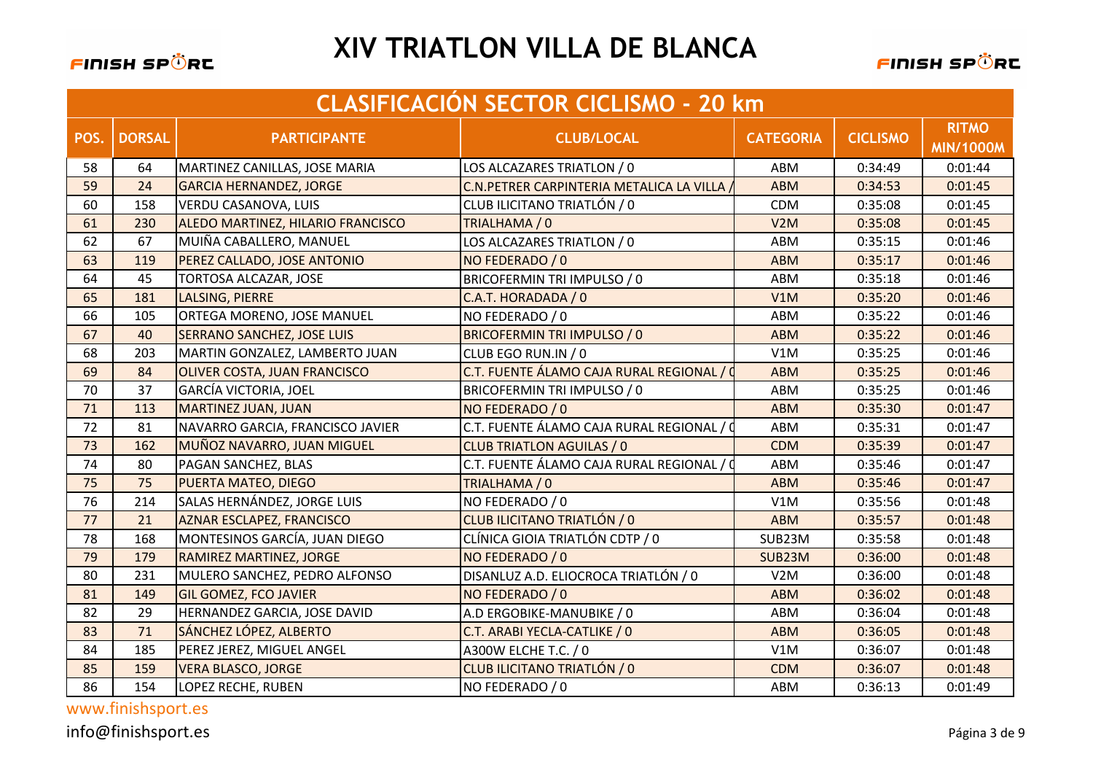

|      | <b>CLASIFICACIÓN SECTOR CICLISMO - 20 km</b> |                                   |                                           |                  |                 |                                  |  |  |
|------|----------------------------------------------|-----------------------------------|-------------------------------------------|------------------|-----------------|----------------------------------|--|--|
| POS. | <b>DORSAL</b>                                | <b>PARTICIPANTE</b>               | <b>CLUB/LOCAL</b>                         | <b>CATEGORIA</b> | <b>CICLISMO</b> | <b>RITMO</b><br><b>MIN/1000M</b> |  |  |
| 58   | 64                                           | MARTINEZ CANILLAS, JOSE MARIA     | LOS ALCAZARES TRIATLON / 0                | ABM              | 0:34:49         | 0:01:44                          |  |  |
| 59   | 24                                           | <b>GARCIA HERNANDEZ, JORGE</b>    | C.N. PETRER CARPINTERIA METALICA LA VILLA | <b>ABM</b>       | 0:34:53         | 0:01:45                          |  |  |
| 60   | 158                                          | <b>VERDU CASANOVA, LUIS</b>       | CLUB ILICITANO TRIATLÓN / 0               | <b>CDM</b>       | 0:35:08         | 0:01:45                          |  |  |
| 61   | 230                                          | ALEDO MARTINEZ, HILARIO FRANCISCO | TRIALHAMA / 0                             | V2M              | 0:35:08         | 0:01:45                          |  |  |
| 62   | 67                                           | MUIÑA CABALLERO, MANUEL           | LOS ALCAZARES TRIATLON / 0                | ABM              | 0:35:15         | 0:01:46                          |  |  |
| 63   | 119                                          | PEREZ CALLADO, JOSE ANTONIO       | NO FEDERADO / 0                           | <b>ABM</b>       | 0:35:17         | 0:01:46                          |  |  |
| 64   | 45                                           | TORTOSA ALCAZAR, JOSE             | BRICOFERMIN TRI IMPULSO / 0               | ABM              | 0:35:18         | 0:01:46                          |  |  |
| 65   | 181                                          | LALSING, PIERRE                   | C.A.T. HORADADA / 0                       | V1M              | 0:35:20         | 0:01:46                          |  |  |
| 66   | 105                                          | ORTEGA MORENO, JOSE MANUEL        | NO FEDERADO / 0                           | ABM              | 0:35:22         | 0:01:46                          |  |  |
| 67   | 40                                           | <b>SERRANO SANCHEZ, JOSE LUIS</b> | <b>BRICOFERMIN TRI IMPULSO / 0</b>        | <b>ABM</b>       | 0:35:22         | 0:01:46                          |  |  |
| 68   | 203                                          | MARTIN GONZALEZ, LAMBERTO JUAN    | CLUB EGO RUN.IN / 0                       | V1M              | 0:35:25         | 0:01:46                          |  |  |
| 69   | 84                                           | OLIVER COSTA, JUAN FRANCISCO      | C.T. FUENTE ÁLAMO CAJA RURAL REGIONAL / 0 | <b>ABM</b>       | 0:35:25         | 0:01:46                          |  |  |
| 70   | 37                                           | <b>GARCÍA VICTORIA, JOEL</b>      | BRICOFERMIN TRI IMPULSO / 0               | ABM              | 0:35:25         | 0:01:46                          |  |  |
| 71   | 113                                          | <b>MARTINEZ JUAN, JUAN</b>        | NO FEDERADO / 0                           | <b>ABM</b>       | 0:35:30         | 0:01:47                          |  |  |
| 72   | 81                                           | NAVARRO GARCIA, FRANCISCO JAVIER  | C.T. FUENTE ÁLAMO CAJA RURAL REGIONAL / 0 | ABM              | 0:35:31         | 0:01:47                          |  |  |
| 73   | 162                                          | MUÑOZ NAVARRO, JUAN MIGUEL        | <b>CLUB TRIATLON AGUILAS / 0</b>          | <b>CDM</b>       | 0:35:39         | 0:01:47                          |  |  |
| 74   | 80                                           | PAGAN SANCHEZ, BLAS               | C.T. FUENTE ÁLAMO CAJA RURAL REGIONAL / 0 | ABM              | 0:35:46         | 0:01:47                          |  |  |
| 75   | 75                                           | <b>PUERTA MATEO, DIEGO</b>        | TRIALHAMA / 0                             | <b>ABM</b>       | 0:35:46         | 0:01:47                          |  |  |
| 76   | 214                                          | SALAS HERNÁNDEZ, JORGE LUIS       | NO FEDERADO / 0                           | V1M              | 0:35:56         | 0:01:48                          |  |  |
| 77   | 21                                           | <b>AZNAR ESCLAPEZ, FRANCISCO</b>  | CLUB ILICITANO TRIATLÓN / 0               | <b>ABM</b>       | 0:35:57         | 0:01:48                          |  |  |
| 78   | 168                                          | MONTESINOS GARCÍA, JUAN DIEGO     | CLÍNICA GIOIA TRIATLÓN CDTP / 0           | SUB23M           | 0:35:58         | 0:01:48                          |  |  |
| 79   | 179                                          | <b>RAMIREZ MARTINEZ, JORGE</b>    | NO FEDERADO / 0                           | SUB23M           | 0:36:00         | 0:01:48                          |  |  |
| 80   | 231                                          | MULERO SANCHEZ, PEDRO ALFONSO     | DISANLUZ A.D. ELIOCROCA TRIATLÓN / 0      | V2M              | 0:36:00         | 0:01:48                          |  |  |
| 81   | 149                                          | <b>GIL GOMEZ, FCO JAVIER</b>      | NO FEDERADO / 0                           | <b>ABM</b>       | 0:36:02         | 0:01:48                          |  |  |
| 82   | 29                                           | HERNANDEZ GARCIA, JOSE DAVID      | A.D ERGOBIKE-MANUBIKE / 0                 | ABM              | 0:36:04         | 0:01:48                          |  |  |
| 83   | 71                                           | SÁNCHEZ LÓPEZ, ALBERTO            | C.T. ARABI YECLA-CATLIKE / 0              | <b>ABM</b>       | 0:36:05         | 0:01:48                          |  |  |
| 84   | 185                                          | PEREZ JEREZ, MIGUEL ANGEL         | A300W ELCHE T.C. / 0                      | V1M              | 0:36:07         | 0:01:48                          |  |  |
| 85   | 159                                          | <b>VERA BLASCO, JORGE</b>         | CLUB ILICITANO TRIATLÓN / 0               | <b>CDM</b>       | 0:36:07         | 0:01:48                          |  |  |
| 86   | 154                                          | LOPEZ RECHE, RUBEN                | NO FEDERADO / 0                           | ABM              | 0:36:13         | 0:01:49                          |  |  |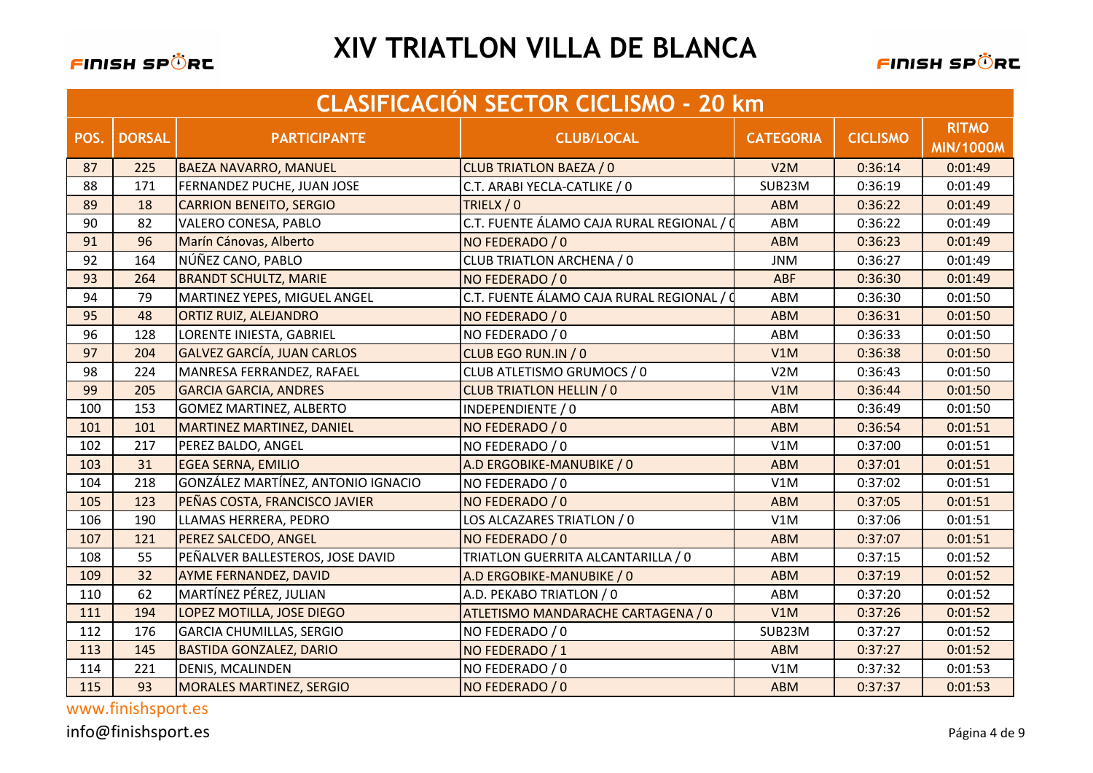

|      | <b>CLASIFICACIÓN SECTOR CICLISMO - 20 km</b> |                                    |                                           |                  |                 |                                  |  |
|------|----------------------------------------------|------------------------------------|-------------------------------------------|------------------|-----------------|----------------------------------|--|
| POS. | <b>DORSAL</b>                                | <b>PARTICIPANTE</b>                | <b>CLUB/LOCAL</b>                         | <b>CATEGORIA</b> | <b>CICLISMO</b> | <b>RITMO</b><br><b>MIN/1000M</b> |  |
| 87   | 225                                          | <b>BAEZA NAVARRO, MANUEL</b>       | <b>CLUB TRIATLON BAEZA / 0</b>            | V2M              | 0:36:14         | 0:01:49                          |  |
| 88   | 171                                          | FERNANDEZ PUCHE, JUAN JOSE         | C.T. ARABI YECLA-CATLIKE / 0              | SUB23M           | 0:36:19         | 0:01:49                          |  |
| 89   | 18                                           | <b>CARRION BENEITO, SERGIO</b>     | TRIELX / 0                                | <b>ABM</b>       | 0:36:22         | 0:01:49                          |  |
| 90   | 82                                           | VALERO CONESA, PABLO               | C.T. FUENTE ÁLAMO CAJA RURAL REGIONAL / 0 | ABM              | 0:36:22         | 0:01:49                          |  |
| 91   | 96                                           | Marín Cánovas, Alberto             | NO FEDERADO / 0                           | <b>ABM</b>       | 0:36:23         | 0:01:49                          |  |
| 92   | 164                                          | NÚÑEZ CANO, PABLO                  | CLUB TRIATLON ARCHENA / 0                 | <b>JNM</b>       | 0:36:27         | 0:01:49                          |  |
| 93   | 264                                          | <b>BRANDT SCHULTZ, MARIE</b>       | NO FEDERADO / 0                           | <b>ABF</b>       | 0:36:30         | 0:01:49                          |  |
| 94   | 79                                           | MARTINEZ YEPES, MIGUEL ANGEL       | C.T. FUENTE ÁLAMO CAJA RURAL REGIONAL / 0 | ABM              | 0:36:30         | 0:01:50                          |  |
| 95   | 48                                           | ORTIZ RUIZ, ALEJANDRO              | NO FEDERADO / 0                           | <b>ABM</b>       | 0:36:31         | 0:01:50                          |  |
| 96   | 128                                          | LORENTE INIESTA, GABRIEL           | NO FEDERADO / 0                           | ABM              | 0:36:33         | 0:01:50                          |  |
| 97   | 204                                          | <b>GALVEZ GARCÍA, JUAN CARLOS</b>  | CLUB EGO RUN.IN / 0                       | V1M              | 0:36:38         | 0:01:50                          |  |
| 98   | 224                                          | MANRESA FERRANDEZ, RAFAEL          | CLUB ATLETISMO GRUMOCS / 0                | V2M              | 0:36:43         | 0:01:50                          |  |
| 99   | 205                                          | <b>GARCIA GARCIA, ANDRES</b>       | <b>CLUB TRIATLON HELLIN / 0</b>           | V1M              | 0:36:44         | 0:01:50                          |  |
| 100  | 153                                          | <b>GOMEZ MARTINEZ, ALBERTO</b>     | INDEPENDIENTE / 0                         | <b>ABM</b>       | 0:36:49         | 0:01:50                          |  |
| 101  | 101                                          | <b>MARTINEZ MARTINEZ, DANIEL</b>   | NO FEDERADO / 0                           | <b>ABM</b>       | 0:36:54         | 0:01:51                          |  |
| 102  | 217                                          | PEREZ BALDO, ANGEL                 | NO FEDERADO / 0                           | V1M              | 0:37:00         | 0:01:51                          |  |
| 103  | 31                                           | <b>EGEA SERNA, EMILIO</b>          | A.D ERGOBIKE-MANUBIKE / 0                 | <b>ABM</b>       | 0:37:01         | 0:01:51                          |  |
| 104  | 218                                          | GONZÁLEZ MARTÍNEZ, ANTONIO IGNACIO | NO FEDERADO / 0                           | V1M              | 0:37:02         | 0:01:51                          |  |
| 105  | 123                                          | PEÑAS COSTA, FRANCISCO JAVIER      | NO FEDERADO / 0                           | <b>ABM</b>       | 0:37:05         | 0:01:51                          |  |
| 106  | 190                                          | LLAMAS HERRERA, PEDRO              | LOS ALCAZARES TRIATLON / 0                | V1M              | 0:37:06         | 0:01:51                          |  |
| 107  | 121                                          | PEREZ SALCEDO, ANGEL               | NO FEDERADO / 0                           | <b>ABM</b>       | 0:37:07         | 0:01:51                          |  |
| 108  | 55                                           | PEÑALVER BALLESTEROS, JOSE DAVID   | TRIATLON GUERRITA ALCANTARILLA / 0        | ABM              | 0:37:15         | 0:01:52                          |  |
| 109  | 32                                           | AYME FERNANDEZ, DAVID              | A.D ERGOBIKE-MANUBIKE / 0                 | <b>ABM</b>       | 0:37:19         | 0:01:52                          |  |
| 110  | 62                                           | MARTÍNEZ PÉREZ, JULIAN             | A.D. PEKABO TRIATLON / 0                  | ABM              | 0:37:20         | 0:01:52                          |  |
| 111  | 194                                          | LOPEZ MOTILLA, JOSE DIEGO          | ATLETISMO MANDARACHE CARTAGENA / 0        | V1M              | 0:37:26         | 0:01:52                          |  |
| 112  | 176                                          | <b>GARCIA CHUMILLAS, SERGIO</b>    | NO FEDERADO / 0                           | SUB23M           | 0:37:27         | 0:01:52                          |  |
| 113  | 145                                          | <b>BASTIDA GONZALEZ, DARIO</b>     | NO FEDERADO / 1                           | <b>ABM</b>       | 0:37:27         | 0:01:52                          |  |
| 114  | 221                                          | <b>DENIS, MCALINDEN</b>            | NO FEDERADO / 0                           | V1M              | 0:37:32         | 0:01:53                          |  |
| 115  | 93                                           | <b>MORALES MARTINEZ, SERGIO</b>    | NO FEDERADO / 0                           | <b>ABM</b>       | 0:37:37         | 0:01:53                          |  |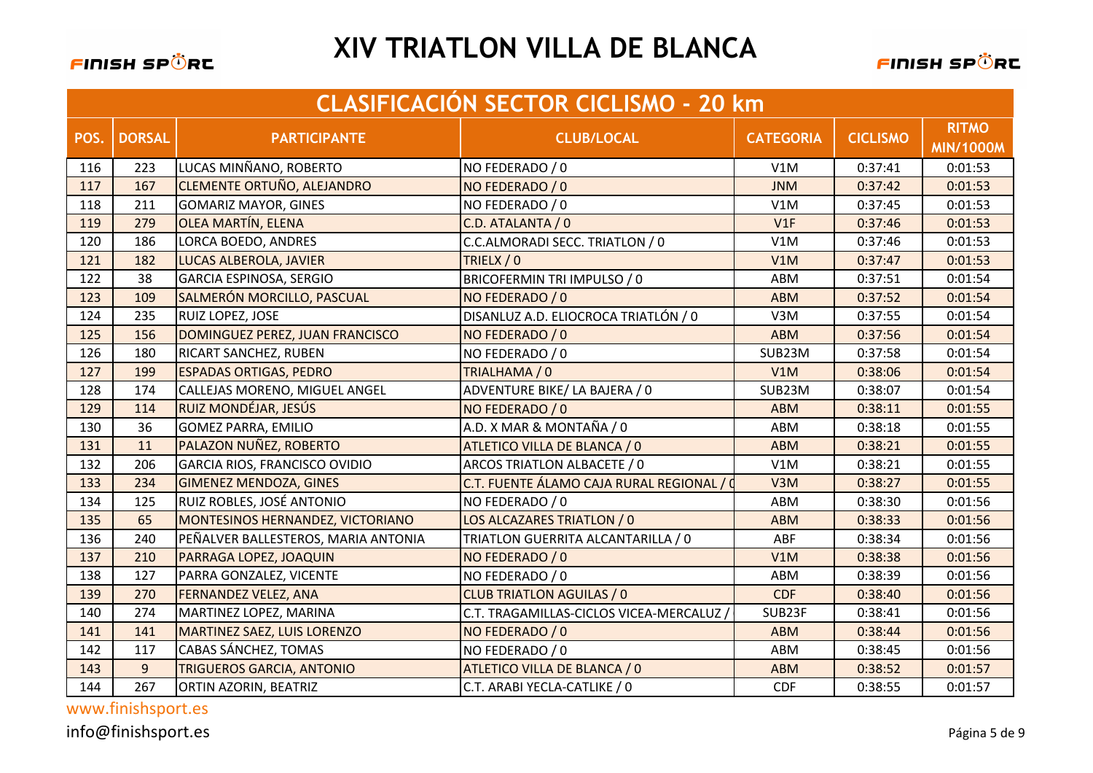

|      | <b>CLASIFICACIÓN SECTOR CICLISMO - 20 km</b> |                                     |                                           |                  |                 |                                  |  |
|------|----------------------------------------------|-------------------------------------|-------------------------------------------|------------------|-----------------|----------------------------------|--|
| POS. | <b>DORSAL</b>                                | <b>PARTICIPANTE</b>                 | <b>CLUB/LOCAL</b>                         | <b>CATEGORIA</b> | <b>CICLISMO</b> | <b>RITMO</b><br><b>MIN/1000M</b> |  |
| 116  | 223                                          | LUCAS MINÑANO, ROBERTO              | NO FEDERADO / 0                           | V1M              | 0:37:41         | 0:01:53                          |  |
| 117  | 167                                          | <b>CLEMENTE ORTUÑO, ALEJANDRO</b>   | NO FEDERADO / 0                           | <b>JNM</b>       | 0:37:42         | 0:01:53                          |  |
| 118  | 211                                          | <b>GOMARIZ MAYOR, GINES</b>         | NO FEDERADO / 0                           | V1M              | 0:37:45         | 0:01:53                          |  |
| 119  | 279                                          | <b>OLEA MARTÍN, ELENA</b>           | C.D. ATALANTA / 0                         | V1F              | 0:37:46         | 0:01:53                          |  |
| 120  | 186                                          | LORCA BOEDO, ANDRES                 | C.C.ALMORADI SECC. TRIATLON / 0           | V1M              | 0:37:46         | 0:01:53                          |  |
| 121  | 182                                          | LUCAS ALBEROLA, JAVIER              | TRIELX / 0                                | V1M              | 0:37:47         | 0:01:53                          |  |
| 122  | 38                                           | GARCIA ESPINOSA, SERGIO             | BRICOFERMIN TRI IMPULSO / 0               | ABM              | 0:37:51         | 0:01:54                          |  |
| 123  | 109                                          | SALMERÓN MORCILLO, PASCUAL          | NO FEDERADO / 0                           | <b>ABM</b>       | 0:37:52         | 0:01:54                          |  |
| 124  | 235                                          | <b>RUIZ LOPEZ, JOSE</b>             | DISANLUZ A.D. ELIOCROCA TRIATLÓN / 0      | V3M              | 0:37:55         | 0:01:54                          |  |
| 125  | 156                                          | DOMINGUEZ PEREZ, JUAN FRANCISCO     | NO FEDERADO / 0                           | <b>ABM</b>       | 0:37:56         | 0:01:54                          |  |
| 126  | 180                                          | <b>RICART SANCHEZ, RUBEN</b>        | NO FEDERADO / 0                           | SUB23M           | 0:37:58         | 0:01:54                          |  |
| 127  | 199                                          | <b>ESPADAS ORTIGAS, PEDRO</b>       | TRIALHAMA / 0                             | V1M              | 0:38:06         | 0:01:54                          |  |
| 128  | 174                                          | CALLEJAS MORENO, MIGUEL ANGEL       | ADVENTURE BIKE/ LA BAJERA / 0             | SUB23M           | 0:38:07         | 0:01:54                          |  |
| 129  | 114                                          | RUIZ MONDÉJAR, JESÚS                | NO FEDERADO / 0                           | <b>ABM</b>       | 0:38:11         | 0:01:55                          |  |
| 130  | 36                                           | <b>GOMEZ PARRA, EMILIO</b>          | A.D. X MAR & MONTAÑA / 0                  | ABM              | 0:38:18         | 0:01:55                          |  |
| 131  | 11                                           | PALAZON NUÑEZ, ROBERTO              | ATLETICO VILLA DE BLANCA / 0              | <b>ABM</b>       | 0:38:21         | 0:01:55                          |  |
| 132  | 206                                          | GARCIA RIOS, FRANCISCO OVIDIO       | ARCOS TRIATLON ALBACETE / 0               | V1M              | 0:38:21         | 0:01:55                          |  |
| 133  | 234                                          | <b>GIMENEZ MENDOZA, GINES</b>       | C.T. FUENTE ÁLAMO CAJA RURAL REGIONAL / 0 | V3M              | 0:38:27         | 0:01:55                          |  |
| 134  | 125                                          | RUIZ ROBLES, JOSÉ ANTONIO           | NO FEDERADO / 0                           | ABM              | 0:38:30         | 0:01:56                          |  |
| 135  | 65                                           | MONTESINOS HERNANDEZ, VICTORIANO    | LOS ALCAZARES TRIATLON / 0                | <b>ABM</b>       | 0:38:33         | 0:01:56                          |  |
| 136  | 240                                          | PEÑALVER BALLESTEROS, MARIA ANTONIA | TRIATLON GUERRITA ALCANTARILLA / 0        | ABF              | 0:38:34         | 0:01:56                          |  |
| 137  | 210                                          | PARRAGA LOPEZ, JOAQUIN              | NO FEDERADO / 0                           | V1M              | 0:38:38         | 0:01:56                          |  |
| 138  | 127                                          | PARRA GONZALEZ, VICENTE             | NO FEDERADO / 0                           | ABM              | 0:38:39         | 0:01:56                          |  |
| 139  | 270                                          | <b>FERNANDEZ VELEZ, ANA</b>         | <b>CLUB TRIATLON AGUILAS / 0</b>          | <b>CDF</b>       | 0:38:40         | 0:01:56                          |  |
| 140  | 274                                          | MARTINEZ LOPEZ, MARINA              | C.T. TRAGAMILLAS-CICLOS VICEA-MERCALUZ /  | SUB23F           | 0:38:41         | 0:01:56                          |  |
| 141  | 141                                          | MARTINEZ SAEZ, LUIS LORENZO         | NO FEDERADO / 0                           | <b>ABM</b>       | 0:38:44         | 0:01:56                          |  |
| 142  | 117                                          | <b>CABAS SÁNCHEZ, TOMAS</b>         | NO FEDERADO / 0                           | ABM              | 0:38:45         | 0:01:56                          |  |
| 143  | 9                                            | <b>TRIGUEROS GARCIA, ANTONIO</b>    | ATLETICO VILLA DE BLANCA / 0              | <b>ABM</b>       | 0:38:52         | 0:01:57                          |  |
| 144  | 267                                          | ORTIN AZORIN, BEATRIZ               | C.T. ARABI YECLA-CATLIKE / 0              | <b>CDF</b>       | 0:38:55         | 0:01:57                          |  |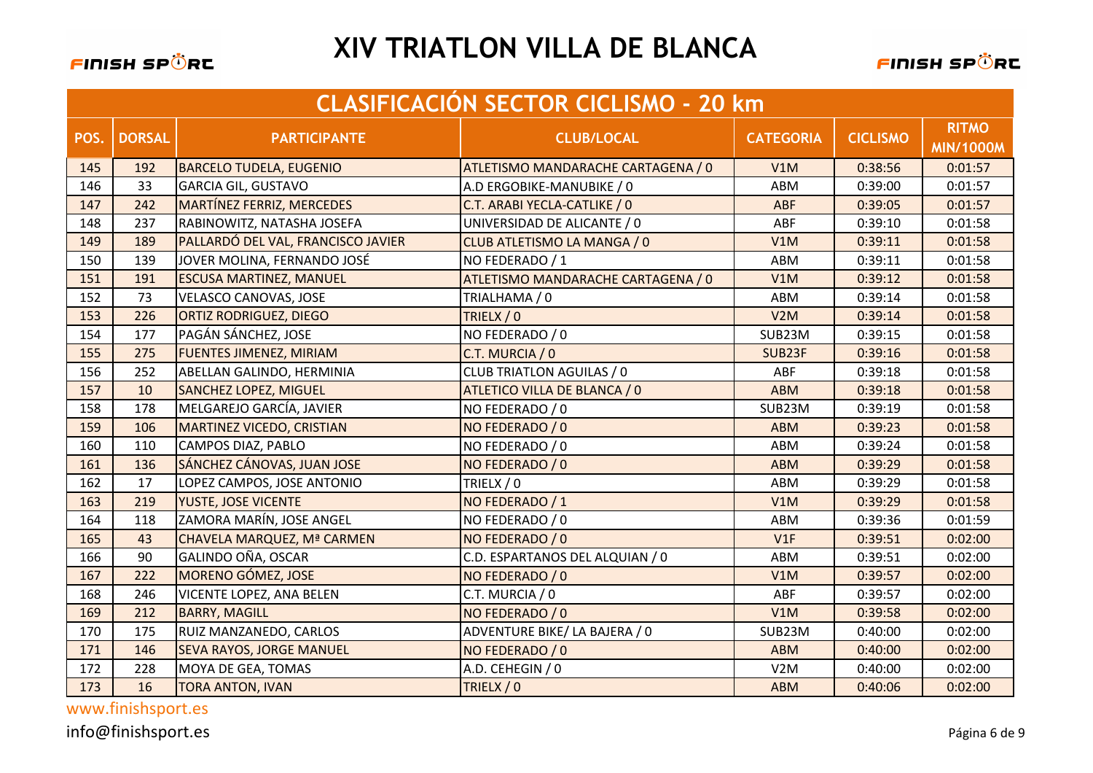

|      | <b>CLASIFICACIÓN SECTOR CICLISMO - 20 km</b> |                                    |                                    |                  |                 |                                  |  |
|------|----------------------------------------------|------------------------------------|------------------------------------|------------------|-----------------|----------------------------------|--|
| POS. | <b>DORSAL</b>                                | <b>PARTICIPANTE</b>                | <b>CLUB/LOCAL</b>                  | <b>CATEGORIA</b> | <b>CICLISMO</b> | <b>RITMO</b><br><b>MIN/1000M</b> |  |
| 145  | 192                                          | <b>BARCELO TUDELA, EUGENIO</b>     | ATLETISMO MANDARACHE CARTAGENA / 0 | V1M              | 0:38:56         | 0:01:57                          |  |
| 146  | 33                                           | <b>GARCIA GIL, GUSTAVO</b>         | A.D ERGOBIKE-MANUBIKE / 0          | ABM              | 0:39:00         | 0:01:57                          |  |
| 147  | 242                                          | <b>MARTÍNEZ FERRIZ, MERCEDES</b>   | C.T. ARABI YECLA-CATLIKE / 0       | ABF              | 0:39:05         | 0:01:57                          |  |
| 148  | 237                                          | RABINOWITZ, NATASHA JOSEFA         | UNIVERSIDAD DE ALICANTE / 0        | ABF              | 0:39:10         | 0:01:58                          |  |
| 149  | 189                                          | PALLARDÓ DEL VAL, FRANCISCO JAVIER | CLUB ATLETISMO LA MANGA / 0        | V1M              | 0:39:11         | 0:01:58                          |  |
| 150  | 139                                          | JOVER MOLINA, FERNANDO JOSÉ        | NO FEDERADO / 1                    | ABM              | 0:39:11         | 0:01:58                          |  |
| 151  | 191                                          | <b>ESCUSA MARTINEZ, MANUEL</b>     | ATLETISMO MANDARACHE CARTAGENA / 0 | V1M              | 0:39:12         | 0:01:58                          |  |
| 152  | 73                                           | <b>VELASCO CANOVAS, JOSE</b>       | TRIALHAMA / 0                      | ABM              | 0:39:14         | 0:01:58                          |  |
| 153  | 226                                          | <b>ORTIZ RODRIGUEZ, DIEGO</b>      | TRIELX / 0                         | V2M              | 0:39:14         | 0:01:58                          |  |
| 154  | 177                                          | PAGÁN SÁNCHEZ, JOSE                | NO FEDERADO / 0                    | SUB23M           | 0:39:15         | 0:01:58                          |  |
| 155  | 275                                          | <b>FUENTES JIMENEZ, MIRIAM</b>     | C.T. MURCIA / 0                    | SUB23F           | 0:39:16         | 0:01:58                          |  |
| 156  | 252                                          | ABELLAN GALINDO, HERMINIA          | <b>CLUB TRIATLON AGUILAS / 0</b>   | ABF              | 0:39:18         | 0:01:58                          |  |
| 157  | 10                                           | <b>SANCHEZ LOPEZ, MIGUEL</b>       | ATLETICO VILLA DE BLANCA / 0       | <b>ABM</b>       | 0:39:18         | 0:01:58                          |  |
| 158  | 178                                          | MELGAREJO GARCÍA, JAVIER           | NO FEDERADO / 0                    | SUB23M           | 0:39:19         | 0:01:58                          |  |
| 159  | 106                                          | <b>MARTINEZ VICEDO, CRISTIAN</b>   | NO FEDERADO / 0                    | <b>ABM</b>       | 0:39:23         | 0:01:58                          |  |
| 160  | 110                                          | CAMPOS DIAZ, PABLO                 | NO FEDERADO / 0                    | ABM              | 0:39:24         | 0:01:58                          |  |
| 161  | 136                                          | SÁNCHEZ CÁNOVAS, JUAN JOSE         | NO FEDERADO / 0                    | <b>ABM</b>       | 0:39:29         | 0:01:58                          |  |
| 162  | 17                                           | LOPEZ CAMPOS, JOSE ANTONIO         | TRIELX / 0                         | ABM              | 0:39:29         | 0:01:58                          |  |
| 163  | 219                                          | YUSTE, JOSE VICENTE                | NO FEDERADO / 1                    | V1M              | 0:39:29         | 0:01:58                          |  |
| 164  | 118                                          | ZAMORA MARÍN, JOSE ANGEL           | NO FEDERADO / 0                    | ABM              | 0:39:36         | 0:01:59                          |  |
| 165  | 43                                           | CHAVELA MARQUEZ, Mª CARMEN         | NO FEDERADO / 0                    | V1F              | 0:39:51         | 0:02:00                          |  |
| 166  | 90                                           | GALINDO OÑA, OSCAR                 | C.D. ESPARTANOS DEL ALQUIAN / 0    | ABM              | 0:39:51         | 0:02:00                          |  |
| 167  | 222                                          | <b>MORENO GÓMEZ, JOSE</b>          | NO FEDERADO / 0                    | V1M              | 0:39:57         | 0:02:00                          |  |
| 168  | 246                                          | <b>VICENTE LOPEZ, ANA BELEN</b>    | C.T. MURCIA / 0                    | ABF              | 0:39:57         | 0:02:00                          |  |
| 169  | 212                                          | <b>BARRY, MAGILL</b>               | NO FEDERADO / 0                    | V1M              | 0:39:58         | 0:02:00                          |  |
| 170  | 175                                          | RUIZ MANZANEDO, CARLOS             | ADVENTURE BIKE/ LA BAJERA / 0      | SUB23M           | 0:40:00         | 0:02:00                          |  |
| 171  | 146                                          | <b>SEVA RAYOS, JORGE MANUEL</b>    | NO FEDERADO / 0                    | <b>ABM</b>       | 0:40:00         | 0:02:00                          |  |
| 172  | 228                                          | MOYA DE GEA, TOMAS                 | A.D. CEHEGIN / 0                   | V2M              | 0:40:00         | 0:02:00                          |  |
| 173  | 16                                           | <b>TORA ANTON, IVAN</b>            | TRIELX / 0                         | <b>ABM</b>       | 0:40:06         | 0:02:00                          |  |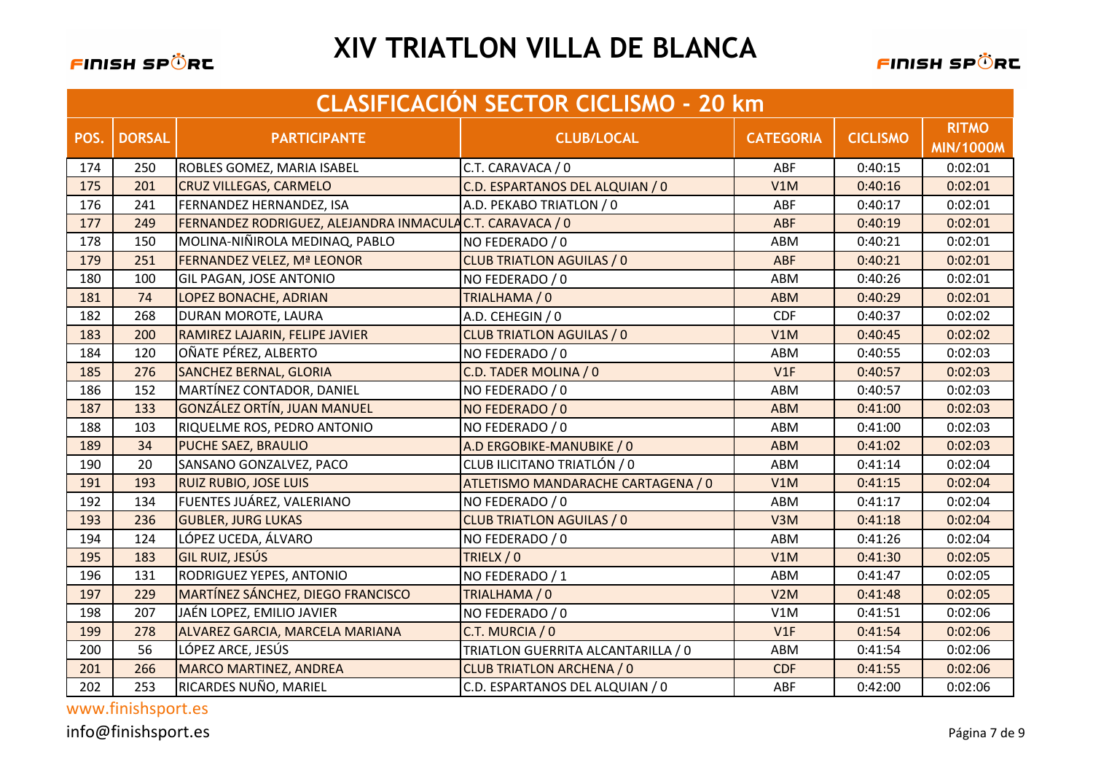

|      | <b>CLASIFICACIÓN SECTOR CICLISMO - 20 km</b> |                                                         |                                    |                  |                 |                                  |  |  |
|------|----------------------------------------------|---------------------------------------------------------|------------------------------------|------------------|-----------------|----------------------------------|--|--|
| POS. | <b>DORSAL</b>                                | <b>PARTICIPANTE</b>                                     | <b>CLUB/LOCAL</b>                  | <b>CATEGORIA</b> | <b>CICLISMO</b> | <b>RITMO</b><br><b>MIN/1000M</b> |  |  |
| 174  | 250                                          | ROBLES GOMEZ, MARIA ISABEL                              | C.T. CARAVACA / 0                  | ABF              | 0:40:15         | 0:02:01                          |  |  |
| 175  | 201                                          | <b>CRUZ VILLEGAS, CARMELO</b>                           | C.D. ESPARTANOS DEL ALQUIAN / 0    | V1M              | 0:40:16         | 0:02:01                          |  |  |
| 176  | 241                                          | FERNANDEZ HERNANDEZ, ISA                                | A.D. PEKABO TRIATLON / 0           | ABF              | 0:40:17         | 0:02:01                          |  |  |
| 177  | 249                                          | FERNANDEZ RODRIGUEZ, ALEJANDRA INMACULACT. CARAVACA / 0 |                                    | ABF              | 0:40:19         | 0:02:01                          |  |  |
| 178  | 150                                          | MOLINA-NIÑIROLA MEDINAQ, PABLO                          | NO FEDERADO / 0                    | ABM              | 0:40:21         | 0:02:01                          |  |  |
| 179  | 251                                          | FERNANDEZ VELEZ, Mª LEONOR                              | <b>CLUB TRIATLON AGUILAS / 0</b>   | <b>ABF</b>       | 0:40:21         | 0:02:01                          |  |  |
| 180  | 100                                          | GIL PAGAN, JOSE ANTONIO                                 | NO FEDERADO / 0                    | ABM              | 0:40:26         | 0:02:01                          |  |  |
| 181  | 74                                           | LOPEZ BONACHE, ADRIAN                                   | TRIALHAMA / 0                      | <b>ABM</b>       | 0:40:29         | 0:02:01                          |  |  |
| 182  | 268                                          | DURAN MOROTE, LAURA                                     | A.D. CEHEGIN / 0                   | <b>CDF</b>       | 0:40:37         | 0:02:02                          |  |  |
| 183  | 200                                          | RAMIREZ LAJARIN, FELIPE JAVIER                          | <b>CLUB TRIATLON AGUILAS / 0</b>   | V1M              | 0:40:45         | 0:02:02                          |  |  |
| 184  | 120                                          | OÑATE PÉREZ, ALBERTO                                    | NO FEDERADO / 0                    | ABM              | 0:40:55         | 0:02:03                          |  |  |
| 185  | 276                                          | <b>SANCHEZ BERNAL, GLORIA</b>                           | C.D. TADER MOLINA / 0              | V1F              | 0:40:57         | 0:02:03                          |  |  |
| 186  | 152                                          | MARTÍNEZ CONTADOR, DANIEL                               | NO FEDERADO / 0                    | ABM              | 0:40:57         | 0:02:03                          |  |  |
| 187  | 133                                          | <b>GONZÁLEZ ORTÍN, JUAN MANUEL</b>                      | NO FEDERADO / 0                    | <b>ABM</b>       | 0:41:00         | 0:02:03                          |  |  |
| 188  | 103                                          | RIQUELME ROS, PEDRO ANTONIO                             | NO FEDERADO / 0                    | ABM              | 0:41:00         | 0:02:03                          |  |  |
| 189  | 34                                           | PUCHE SAEZ, BRAULIO                                     | A.D ERGOBIKE-MANUBIKE / 0          | <b>ABM</b>       | 0:41:02         | 0:02:03                          |  |  |
| 190  | 20                                           | SANSANO GONZALVEZ, PACO                                 | CLUB ILICITANO TRIATLÓN / 0        | ABM              | 0:41:14         | 0:02:04                          |  |  |
| 191  | 193                                          | <b>RUIZ RUBIO, JOSE LUIS</b>                            | ATLETISMO MANDARACHE CARTAGENA / 0 | V1M              | 0:41:15         | 0:02:04                          |  |  |
| 192  | 134                                          | FUENTES JUÁREZ, VALERIANO                               | NO FEDERADO / 0                    | ABM              | 0:41:17         | 0:02:04                          |  |  |
| 193  | 236                                          | <b>GUBLER, JURG LUKAS</b>                               | <b>CLUB TRIATLON AGUILAS / 0</b>   | V3M              | 0:41:18         | 0:02:04                          |  |  |
| 194  | 124                                          | LÓPEZ UCEDA, ÁLVARO                                     | NO FEDERADO / 0                    | ABM              | 0:41:26         | 0:02:04                          |  |  |
| 195  | 183                                          | <b>GIL RUIZ, JESÚS</b>                                  | TRIELX / 0                         | V1M              | 0:41:30         | 0:02:05                          |  |  |
| 196  | 131                                          | RODRIGUEZ YEPES, ANTONIO                                | NO FEDERADO / 1                    | ABM              | 0:41:47         | 0:02:05                          |  |  |
| 197  | 229                                          | MARTÍNEZ SÁNCHEZ, DIEGO FRANCISCO                       | TRIALHAMA / 0                      | V2M              | 0:41:48         | 0:02:05                          |  |  |
| 198  | 207                                          | JAÉN LOPEZ, EMILIO JAVIER                               | NO FEDERADO / 0                    | V1M              | 0:41:51         | 0:02:06                          |  |  |
| 199  | 278                                          | ALVAREZ GARCIA, MARCELA MARIANA                         | C.T. MURCIA / 0                    | V1F              | 0:41:54         | 0:02:06                          |  |  |
| 200  | 56                                           | LÓPEZ ARCE, JESÚS                                       | TRIATLON GUERRITA ALCANTARILLA / 0 | ABM              | 0:41:54         | 0:02:06                          |  |  |
| 201  | 266                                          | <b>MARCO MARTINEZ, ANDREA</b>                           | <b>CLUB TRIATLON ARCHENA / 0</b>   | <b>CDF</b>       | 0:41:55         | 0:02:06                          |  |  |
| 202  | 253                                          | RICARDES NUÑO, MARIEL                                   | C.D. ESPARTANOS DEL ALQUIAN / 0    | ABF              | 0:42:00         | 0:02:06                          |  |  |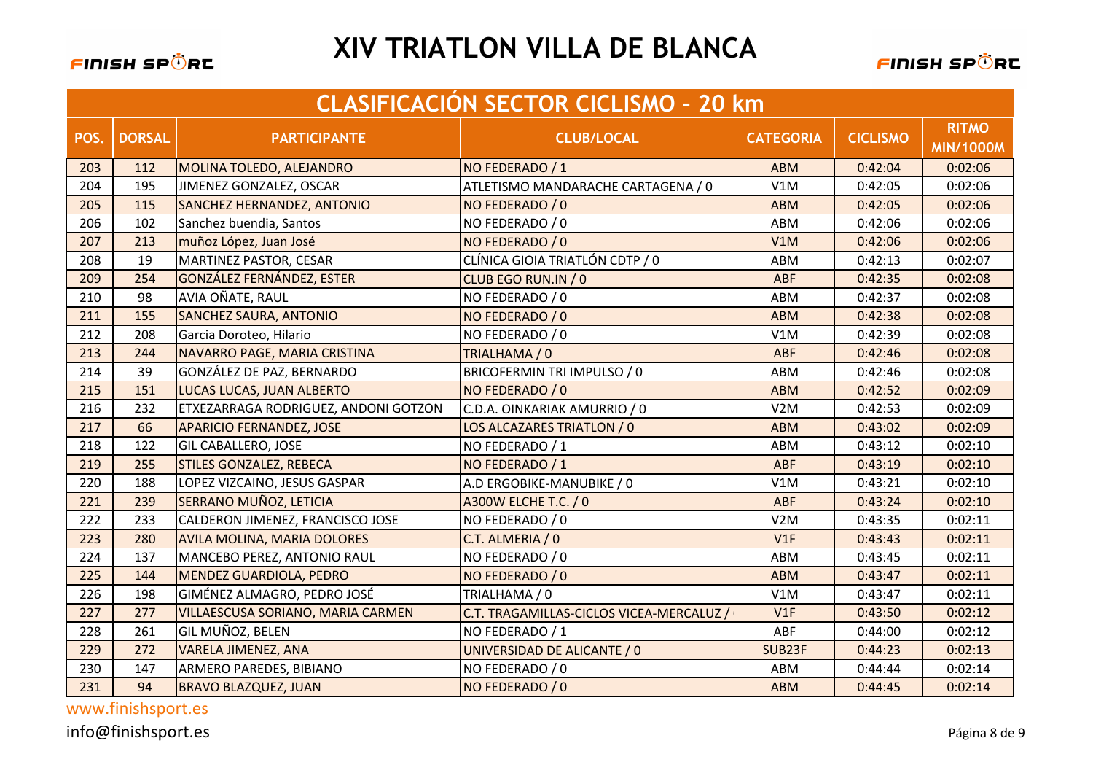

|      | <b>CLASIFICACIÓN SECTOR CICLISMO - 20 km</b> |                                      |                                          |                  |                 |                                  |  |  |
|------|----------------------------------------------|--------------------------------------|------------------------------------------|------------------|-----------------|----------------------------------|--|--|
| POS. | <b>DORSAL</b>                                | <b>PARTICIPANTE</b>                  | <b>CLUB/LOCAL</b>                        | <b>CATEGORIA</b> | <b>CICLISMO</b> | <b>RITMO</b><br><b>MIN/1000M</b> |  |  |
| 203  | 112                                          | MOLINA TOLEDO, ALEJANDRO             | NO FEDERADO / 1                          | <b>ABM</b>       | 0:42:04         | 0:02:06                          |  |  |
| 204  | 195                                          | JIMENEZ GONZALEZ, OSCAR              | ATLETISMO MANDARACHE CARTAGENA / 0       | V1M              | 0:42:05         | 0:02:06                          |  |  |
| 205  | 115                                          | SANCHEZ HERNANDEZ, ANTONIO           | NO FEDERADO / 0                          | <b>ABM</b>       | 0:42:05         | 0:02:06                          |  |  |
| 206  | 102                                          | Sanchez buendia, Santos              | NO FEDERADO / 0                          | ABM              | 0:42:06         | 0:02:06                          |  |  |
| 207  | 213                                          | muñoz López, Juan José               | NO FEDERADO / 0                          | V1M              | 0:42:06         | 0:02:06                          |  |  |
| 208  | 19                                           | MARTINEZ PASTOR, CESAR               | CLÍNICA GIOIA TRIATLÓN CDTP / 0          | ABM              | 0:42:13         | 0:02:07                          |  |  |
| 209  | 254                                          | <b>GONZÁLEZ FERNÁNDEZ, ESTER</b>     | CLUB EGO RUN.IN / 0                      | <b>ABF</b>       | 0:42:35         | 0:02:08                          |  |  |
| 210  | 98                                           | AVIA OÑATE, RAUL                     | NO FEDERADO / 0                          | ABM              | 0:42:37         | 0:02:08                          |  |  |
| 211  | 155                                          | <b>SANCHEZ SAURA, ANTONIO</b>        | NO FEDERADO / 0                          | <b>ABM</b>       | 0:42:38         | 0:02:08                          |  |  |
| 212  | 208                                          | Garcia Doroteo, Hilario              | NO FEDERADO / 0                          | V1M              | 0:42:39         | 0:02:08                          |  |  |
| 213  | 244                                          | NAVARRO PAGE, MARIA CRISTINA         | TRIALHAMA / 0                            | ABF              | 0:42:46         | 0:02:08                          |  |  |
| 214  | 39                                           | GONZÁLEZ DE PAZ, BERNARDO            | BRICOFERMIN TRI IMPULSO / 0              | ABM              | 0:42:46         | 0:02:08                          |  |  |
| 215  | 151                                          | LUCAS LUCAS, JUAN ALBERTO            | NO FEDERADO / 0                          | <b>ABM</b>       | 0:42:52         | 0:02:09                          |  |  |
| 216  | 232                                          | ETXEZARRAGA RODRIGUEZ, ANDONI GOTZON | C.D.A. OINKARIAK AMURRIO / 0             | V2M              | 0:42:53         | 0:02:09                          |  |  |
| 217  | 66                                           | <b>APARICIO FERNANDEZ, JOSE</b>      | LOS ALCAZARES TRIATLON / 0               | <b>ABM</b>       | 0:43:02         | 0:02:09                          |  |  |
| 218  | 122                                          | <b>GIL CABALLERO, JOSE</b>           | NO FEDERADO / 1                          | ABM              | 0:43:12         | 0:02:10                          |  |  |
| 219  | 255                                          | <b>STILES GONZALEZ, REBECA</b>       | NO FEDERADO / 1                          | <b>ABF</b>       | 0:43:19         | 0:02:10                          |  |  |
| 220  | 188                                          | LOPEZ VIZCAINO, JESUS GASPAR         | A.D ERGOBIKE-MANUBIKE / 0                | V1M              | 0:43:21         | 0:02:10                          |  |  |
| 221  | 239                                          | SERRANO MUÑOZ, LETICIA               | <b>A300W ELCHE T.C. / 0</b>              | <b>ABF</b>       | 0:43:24         | 0:02:10                          |  |  |
| 222  | 233                                          | CALDERON JIMENEZ, FRANCISCO JOSE     | NO FEDERADO / 0                          | V2M              | 0:43:35         | 0:02:11                          |  |  |
| 223  | 280                                          | <b>AVILA MOLINA, MARIA DOLORES</b>   | C.T. ALMERIA / 0                         | V1F              | 0:43:43         | 0:02:11                          |  |  |
| 224  | 137                                          | MANCEBO PEREZ, ANTONIO RAUL          | NO FEDERADO / 0                          | ABM              | 0:43:45         | 0:02:11                          |  |  |
| 225  | 144                                          | <b>MENDEZ GUARDIOLA, PEDRO</b>       | NO FEDERADO / 0                          | <b>ABM</b>       | 0:43:47         | 0:02:11                          |  |  |
| 226  | 198                                          | GIMÉNEZ ALMAGRO, PEDRO JOSÉ          | TRIALHAMA / 0                            | V1M              | 0:43:47         | 0:02:11                          |  |  |
| 227  | 277                                          | VILLAESCUSA SORIANO, MARIA CARMEN    | C.T. TRAGAMILLAS-CICLOS VICEA-MERCALUZ / | V1F              | 0:43:50         | 0:02:12                          |  |  |
| 228  | 261                                          | GIL MUÑOZ, BELEN                     | NO FEDERADO / 1                          | ABF              | 0:44:00         | 0:02:12                          |  |  |
| 229  | 272                                          | <b>VARELA JIMENEZ, ANA</b>           | UNIVERSIDAD DE ALICANTE / 0              | SUB23F           | 0:44:23         | 0:02:13                          |  |  |
| 230  | 147                                          | ARMERO PAREDES, BIBIANO              | NO FEDERADO / 0                          | ABM              | 0:44:44         | 0:02:14                          |  |  |
| 231  | 94                                           | <b>BRAVO BLAZQUEZ, JUAN</b>          | NO FEDERADO / 0                          | <b>ABM</b>       | 0:44:45         | 0:02:14                          |  |  |